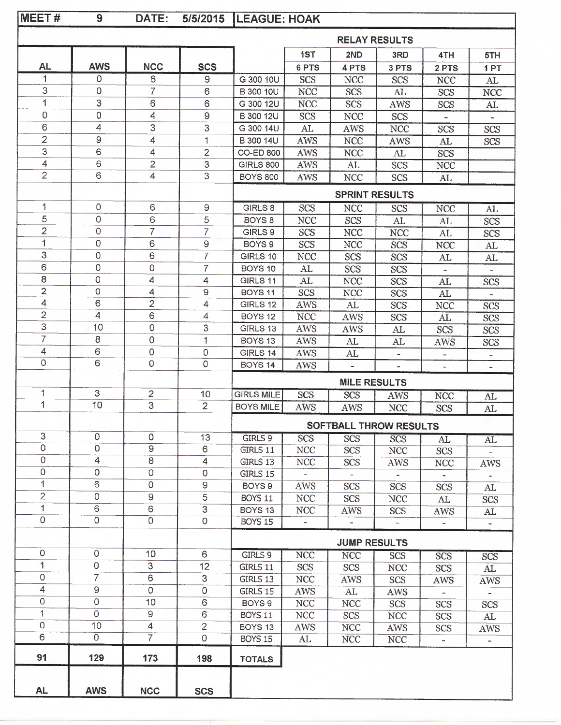| MEET#                     | 9              | DATE:                   | 5/5/2015           | <b>LEAGUE: HOAK</b>    |                          |                          |                      |                          |                          |
|---------------------------|----------------|-------------------------|--------------------|------------------------|--------------------------|--------------------------|----------------------|--------------------------|--------------------------|
|                           |                |                         |                    |                        |                          |                          | <b>RELAY RESULTS</b> |                          |                          |
|                           |                |                         |                    |                        | 1ST                      | 2ND                      | 3RD                  | 4TH                      | 5TH                      |
| AL.                       | <b>AWS</b>     | <b>NCC</b>              | <b>SCS</b>         |                        | 6 PTS                    | 4 PTS                    | 3 PTS                | 2 PTS                    | 1PT                      |
| 1                         | 0              | 6                       | 9                  | G 300 10U              | <b>SCS</b>               | <b>NCC</b>               | <b>SCS</b>           | <b>NCC</b>               | AL                       |
| 3                         | 0              | $\overline{7}$          | 6                  | <b>B</b> 300 10U       | <b>NCC</b>               | <b>SCS</b>               | AL                   | <b>SCS</b>               | <b>NCC</b>               |
| 1                         | 3              | 6                       | 6                  | G 300 12U              | <b>NCC</b>               | <b>SCS</b>               | AWS                  | <b>SCS</b>               | AL                       |
| 0                         | $\mathbf 0$    | 4                       | 9                  | <b>B</b> 300 12U       | <b>SCS</b>               | <b>NCC</b>               | <b>SCS</b>           |                          |                          |
| 6                         | 4              | 3                       | 3                  | G 300 14U              | AL                       | <b>AWS</b>               | <b>NCC</b>           | <b>SCS</b>               | <b>SCS</b>               |
| $\overline{2}$            | 9              | $\overline{4}$          | 1                  | B 300 14U              | <b>AWS</b>               | <b>NCC</b>               | AWS                  | AL                       | <b>SCS</b>               |
| 3                         | 6              | $\overline{4}$          | $\overline{2}$     | <b>CO-ED 800</b>       | <b>AWS</b>               | <b>NCC</b>               | AL                   | <b>SCS</b>               |                          |
| 4                         | 6              | $\overline{2}$          | $\mathsf 3$        | <b>GIRLS 800</b>       | <b>AWS</b>               | AL                       | <b>SCS</b>           | <b>NCC</b>               |                          |
| $\overline{2}$            | 6              | 4                       | 3                  | <b>BOYS 800</b>        | <b>AWS</b>               | <b>NCC</b>               | <b>SCS</b>           | AL                       |                          |
|                           |                |                         |                    |                        |                          | <b>SPRINT RESULTS</b>    |                      |                          |                          |
| 1                         | 0              | 6                       | $\hbox{ }^{\rm 9}$ | GIRLS 8                | SCS                      | <b>NCC</b>               | <b>SCS</b>           | <b>NCC</b>               | AL                       |
| $\sqrt{5}$                | 0              | 6                       | 5                  | BOYS <sub>8</sub>      | <b>NCC</b>               | <b>SCS</b>               | AL                   | AL                       | <b>SCS</b>               |
| $\overline{2}$            | 0              | $\overline{7}$          | $\overline{7}$     | GIRLS 9                | <b>SCS</b>               | <b>NCC</b>               | <b>NCC</b>           | AL                       | <b>SCS</b>               |
| 1                         | 0              | 6                       | 9                  | BOYS <sub>9</sub>      | SCS                      | <b>NCC</b>               | <b>SCS</b>           | <b>NCC</b>               | AL                       |
| 3                         | 0              | 6                       | $\overline{7}$     | GIRLS 10               | <b>NCC</b>               | <b>SCS</b>               | <b>SCS</b>           | AL                       | AL                       |
| 6                         | 0              | 0                       | 7                  | BOYS <sub>10</sub>     | AL                       | <b>SCS</b>               | <b>SCS</b>           |                          |                          |
| 8                         | $\circ$        | 4                       | 4                  | GIRLS 11               | AL                       | <b>NCC</b>               | <b>SCS</b>           | AL                       | SCS                      |
| $\overline{2}$            | $\Omega$       | 4                       | 9                  | BOYS 11                | <b>SCS</b>               | <b>NCC</b>               | <b>SCS</b>           | AL                       |                          |
| 4                         | 6              | $\overline{2}$          | 4                  | GIRLS 12               | <b>AWS</b>               | AL                       | <b>SCS</b>           |                          |                          |
| 2                         | $\overline{4}$ | 6                       | $\overline{4}$     | BOYS <sub>12</sub>     | <b>NCC</b>               | <b>AWS</b>               |                      | <b>NCC</b>               | <b>SCS</b>               |
| 3                         | 10             | 0                       | 3                  | GIRLS 13               | AWS                      |                          | SCS                  | AL                       | <b>SCS</b>               |
| $\overline{7}$            | 8              | $\mathsf{O}\xspace$     | 1                  |                        |                          | <b>AWS</b>               | AL                   | <b>SCS</b>               | <b>SCS</b>               |
| 4                         | 6              |                         |                    | BOYS <sub>13</sub>     | <b>AWS</b>               | AL                       | AL                   | AWS                      | <b>SCS</b>               |
| 0                         | 6              | 0<br>0                  | 0<br>0             | GIRLS 14               | AWS                      | $\mathbf{AL}$            |                      |                          |                          |
|                           |                |                         |                    | BOYS <sub>14</sub>     | AWS                      |                          |                      |                          | $\overline{\phantom{a}}$ |
|                           |                |                         |                    |                        |                          | <b>MILE RESULTS</b>      |                      |                          |                          |
| 1                         | 3              | $\overline{\mathbf{c}}$ | 10                 | <b>GIRLS MILE</b>      | SCS                      | <b>SCS</b>               | <b>AWS</b>           | <b>NCC</b>               | AL                       |
| 1                         | 10             | $\overline{3}$          | $\overline{2}$     | <b>BOYS MILE</b>       | <b>AWS</b>               | <b>AWS</b>               | <b>NCC</b>           | <b>SCS</b>               | AL                       |
|                           |                |                         |                    | SOFTBALL THROW RESULTS |                          |                          |                      |                          |                          |
| 3                         | $\mathsf O$    | 0                       | 13                 | GIRLS 9                | <b>SCS</b>               | <b>SCS</b>               | <b>SCS</b>           | AL                       | AL                       |
| $\overline{\mathfrak{o}}$ | $\overline{0}$ | $\overline{9}$          | 6                  | GIRLS 11               | <b>NCC</b>               | <b>SCS</b>               | <b>NCC</b>           | <b>SCS</b>               |                          |
| $\mathsf O$               | 4              | 8                       | 4                  | GIRLS 13               | <b>NCC</b>               | <b>SCS</b>               | <b>AWS</b>           | <b>NCC</b>               | AWS                      |
| $\mathsf O$               | $\mathbf 0$    | $\circ$                 | $\mathbf 0$        | GIRLS 15               |                          |                          |                      |                          |                          |
| 1                         | 6              | $\circ$                 | $\hbox{ }9$        | BOYS 9                 | AWS                      | <b>SCS</b>               | <b>SCS</b>           | <b>SCS</b>               | AL                       |
| $\overline{2}$            | $\overline{0}$ | $\hbox{\large\it{S}}$   | $\overline{5}$     | <b>BOYS 11</b>         | <b>NCC</b>               | <b>SCS</b>               | <b>NCC</b>           | $\mathbf{A}\mathbf{L}$   | <b>SCS</b>               |
| 1                         | 6              | 6                       | $\overline{3}$     | BOYS <sub>13</sub>     | <b>NCC</b>               | AWS                      | <b>SCS</b>           | AWS                      | AL                       |
| $\mathsf O$               | $\overline{0}$ | $\overline{0}$          | $\overline{0}$     | BOYS 15                | $\overline{\phantom{a}}$ | $\overline{\phantom{a}}$ | ÷.                   | $\overline{\phantom{a}}$ |                          |
|                           |                |                         |                    |                        |                          | <b>JUMP RESULTS</b>      |                      |                          |                          |
| 0                         | $\mathsf O$    | 10                      | 6                  | GIRLS 9                | <b>NCC</b>               | <b>NCC</b>               | <b>SCS</b>           | <b>SCS</b>               | <b>SCS</b>               |
| 1                         | $\overline{0}$ | 3                       | 12                 | GIRLS 11               | <b>SCS</b>               | <b>SCS</b>               | <b>NCC</b>           | <b>SCS</b>               | AL                       |
| $\circ$                   | $\overline{7}$ | 6                       | 3                  | GIRLS 13               | <b>NCC</b>               | AWS                      | <b>SCS</b>           | AWS                      | AWS                      |
| $\overline{4}$            | $\hbox{ }9$    | $\circ$                 | $\mbox{O}$         | GIRLS 15               | <b>AWS</b>               | ${\rm AL}$               | AWS                  | $\overline{\phantom{a}}$ |                          |
| $\overline{0}$            | $\mathsf O$    | 10                      | $\mathsf 6$        | BOYS <sub>9</sub>      | <b>NCC</b>               | <b>NCC</b>               | <b>SCS</b>           | <b>SCS</b>               | <b>SCS</b>               |
| $\overline{1}$            | $\overline{0}$ | 9                       | 6                  | <b>BOYS 11</b>         | <b>NCC</b>               | <b>SCS</b>               | <b>NCC</b>           | <b>SCS</b>               | AL                       |
| 0                         | 10             | 4                       | $\overline{2}$     | BOYS <sub>13</sub>     | <b>AWS</b>               | <b>NCC</b>               | <b>AWS</b>           | <b>SCS</b>               | AWS                      |
| 6                         | $\overline{O}$ | $\overline{7}$          | $\overline{0}$     | <b>BOYS 15</b>         | AL                       | <b>NCC</b>               | <b>NCC</b>           | $\overline{\phantom{a}}$ | $\blacksquare$           |
| 91                        | 129            | 173                     | 198                | <b>TOTALS</b>          |                          |                          |                      |                          |                          |
|                           |                |                         |                    |                        |                          |                          |                      |                          |                          |
| <b>AL</b>                 | <b>AWS</b>     | <b>NCC</b>              | <b>SCS</b>         |                        |                          |                          |                      |                          |                          |
|                           |                |                         |                    |                        |                          |                          |                      |                          |                          |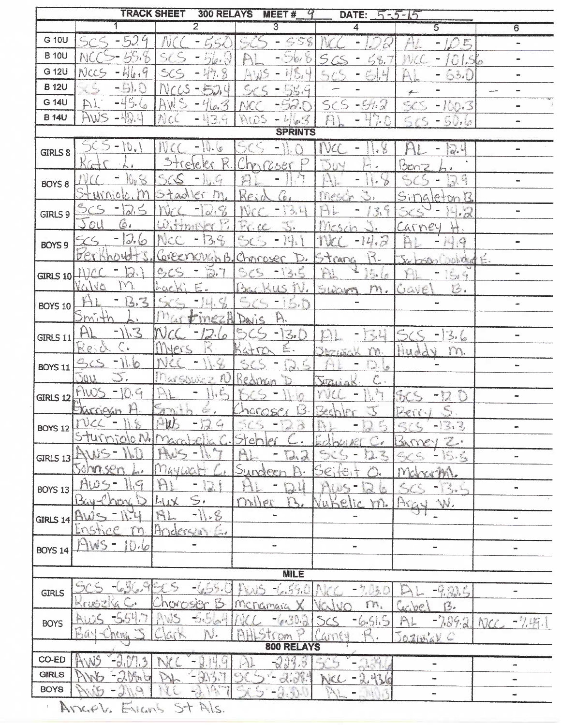| $\overline{2}$<br>3<br>5<br>$\overline{6}$<br>4<br>G 10U<br>$-52$<br>S<br>king.<br>S<br>-<br>E<br>÷.<br>$\blacksquare$<br><b>B</b> 10U<br>N<br>m fr<br>$\ddot{\mathcal{L}}$<br>56<br>G 12U<br>NCC<br>SC<br>Ç<br>$H_{\alpha}$<br>山<br>63.0<br><b>B</b> 12U<br>- 67<br>N<br>5.9<br>5.6<br>G 14U<br>52.<br>-4<br>AW<br>$-942$<br>$\varsigma_{\zeta}$<br>$-100.3$<br>$C - 1$<br>10.7<br>aas<br>HWS<br><b>B</b> 14U<br>H.<br>NCC<br>50.6<br>्र<br>$\hat{\mathcal{L}}^{\zeta}$<br>6.5<br>$\mathcal{L}_{\mathcal{L}}$<br>$\overline{\phantom{0}}$<br><b>SPRINTS</b><br>$\mathbb{D}_\mathbf{v}$<br>$\frac{1}{\alpha}$<br>锑<br>GIRLS 8<br>R<br>ACY<br>Bonz<br>pte.<br>Ç<br>大きさ<br>lija<br>BOYS 8<br>he<br>$e\epsilon$<br>UNNO<br>m<br>了了。<br>$\sum_{k=1}^{n}$<br>$S_{11}$<br>$e^{\frac{1}{2}}$<br>JG<br>$P+CD$<br>G<br>$C_{\frac{1}{2}}$<br>€,<br>i<br>Ind<br>$\frac{1}{2}$<br><b>BARA</b><br>$\frac{1}{2}$<br>$\mathbb{R}^d$<br>GIRLS 9<br>6.<br>$J_{OL}$<br>÷.<br>サウトドンド<br>Car<br>ney<br>12.6<br>$\cdot$<br>$\rightarrow$<br>45<br>in f<br>BOYS <sub>9</sub><br>b e<br>Strang<br>$\mathbb{R}$<br>$\mathcal{O}^{\frac{3}{2}}$<br>KAMIN<br>Chrisser<br>D.<br>É.<br><b>Deb</b> led<br>2,<br>÷.<br>Co.<br>e de<br>وتحيينها<br>$\blacksquare$<br>$GIRLS$ $10$<br>M<br>N.<br>N <sub>C</sub><br>VO<br>ţ.<br>B.<br>L.<br>15<br>SUCUM<br>m.<br>mcap<br>LIGUE<br>South Books<br>$E_3$<br><b>BOYS 10</b><br>$\blacksquare$<br>3<br>A.<br>m<br>Davis<br><b>Call</b><br><b>Contract</b><br>3.6<br>50<br><b>GIRLS 11</b><br>Re<br>NPTS<br>$\mathbf{b}$<br>m.<br>$\mathcal{L}$<br>TW.<br>Hud<br>trian<br><b>BOYS 11</b><br>as.<br>D<br>Massiving<br>50V<br>Redman<br>Ĉ<br><b>Taken</b><br>J.<br>507113<br>MW<br>Concept R<br>J.<br>-<br><b>GIRLS 12</b><br>Charrickin<br>Sinith<br>Berry<br>NGEO<br>$\subset$<br>$\mathbb{R}^n$<br>DC4<br>$\frac{m^2}{2}$ )<br>ÿ<br>$\sum_{i=1}^n a_i$<br>$-13.3$<br>$\frac{1}{2\sqrt{2}}$<br>$\mathcal{L}$<br><b>BOYS 12</b><br>as,<br>He<br>C<br>\$C<br>X<br>Barney<br>way .<br>$\varpi_{\delta}$<br>G.<br>h.<br>GIRLS 13<br>we.<br>Sohrnsen<br>D,<br>May<br>$C_1$<br>crM<br>Dungeen<br>MCL<br>$A\omega$<br>G<br>I.<br>Lys ing<br><b>BOYS 13</b><br>w.<br>$\mathbb{S}_{2}$<br>miller<br>$L_{11}$<br>W.<br>WW.<br>Vukelic<br>m.<br>$-11.8$<br>GIRLS 14 AW<br>٠<br>w.<br>$\blacksquare$<br>Ensti<br>Anderson<br>En<br>T<br>MIS<br>×,<br>0.6<br>$\frac{1}{2} \left( \frac{1}{2} \right) \left( \frac{1}{2} \right)$<br>to:<br>-<br><b>BOYS 14</b><br>w.<br><b>MILE</b><br>54.1<br>7.03.0<br>$-9.80.5$<br>GIRLS<br>$\equiv$<br>ß<br>50 <sup>o</sup><br>nova<br>m.<br>reingra<br>Gelbe<br>g,<br>$-5.5a^2$<br>$-6.515$<br>4.30.3<br>$-7.39.2$<br>AL<br>NCC<br><b>BOYS</b><br>Bay<br>n p<br>JOZIBLE C<br>ntal<br>$\mathbb{R}$<br>OW<br>800 RELAYS<br>CO-ED<br>Å<br>4.5<br>35.<br>$\mathbb{S}_{\mathbb{Z}_p^*}$<br>$\blacksquare$<br>÷ | <b>TRACK SHEET</b><br><b>300 RELAYS</b><br>MEET#<br>DATE:<br>$5 - 5 - 15$ |  |  |  |  |  |           |  |
|---------------------------------------------------------------------------------------------------------------------------------------------------------------------------------------------------------------------------------------------------------------------------------------------------------------------------------------------------------------------------------------------------------------------------------------------------------------------------------------------------------------------------------------------------------------------------------------------------------------------------------------------------------------------------------------------------------------------------------------------------------------------------------------------------------------------------------------------------------------------------------------------------------------------------------------------------------------------------------------------------------------------------------------------------------------------------------------------------------------------------------------------------------------------------------------------------------------------------------------------------------------------------------------------------------------------------------------------------------------------------------------------------------------------------------------------------------------------------------------------------------------------------------------------------------------------------------------------------------------------------------------------------------------------------------------------------------------------------------------------------------------------------------------------------------------------------------------------------------------------------------------------------------------------------------------------------------------------------------------------------------------------------------------------------------------------------------------------------------------------------------------------------------------------------------------------------------------------------------------------------------------------------------------------------------------------------------------------------------------------------------------------------------------------------------------------------------------------------------------------------------------------------------------------------------------------------------------------------------------------------------------------------------------------------------------------------------------------------------------------------------------------------------------------------------------------------------------------|---------------------------------------------------------------------------|--|--|--|--|--|-----------|--|
|                                                                                                                                                                                                                                                                                                                                                                                                                                                                                                                                                                                                                                                                                                                                                                                                                                                                                                                                                                                                                                                                                                                                                                                                                                                                                                                                                                                                                                                                                                                                                                                                                                                                                                                                                                                                                                                                                                                                                                                                                                                                                                                                                                                                                                                                                                                                                                                                                                                                                                                                                                                                                                                                                                                                                                                                                                             |                                                                           |  |  |  |  |  |           |  |
|                                                                                                                                                                                                                                                                                                                                                                                                                                                                                                                                                                                                                                                                                                                                                                                                                                                                                                                                                                                                                                                                                                                                                                                                                                                                                                                                                                                                                                                                                                                                                                                                                                                                                                                                                                                                                                                                                                                                                                                                                                                                                                                                                                                                                                                                                                                                                                                                                                                                                                                                                                                                                                                                                                                                                                                                                                             |                                                                           |  |  |  |  |  |           |  |
|                                                                                                                                                                                                                                                                                                                                                                                                                                                                                                                                                                                                                                                                                                                                                                                                                                                                                                                                                                                                                                                                                                                                                                                                                                                                                                                                                                                                                                                                                                                                                                                                                                                                                                                                                                                                                                                                                                                                                                                                                                                                                                                                                                                                                                                                                                                                                                                                                                                                                                                                                                                                                                                                                                                                                                                                                                             |                                                                           |  |  |  |  |  |           |  |
|                                                                                                                                                                                                                                                                                                                                                                                                                                                                                                                                                                                                                                                                                                                                                                                                                                                                                                                                                                                                                                                                                                                                                                                                                                                                                                                                                                                                                                                                                                                                                                                                                                                                                                                                                                                                                                                                                                                                                                                                                                                                                                                                                                                                                                                                                                                                                                                                                                                                                                                                                                                                                                                                                                                                                                                                                                             |                                                                           |  |  |  |  |  |           |  |
|                                                                                                                                                                                                                                                                                                                                                                                                                                                                                                                                                                                                                                                                                                                                                                                                                                                                                                                                                                                                                                                                                                                                                                                                                                                                                                                                                                                                                                                                                                                                                                                                                                                                                                                                                                                                                                                                                                                                                                                                                                                                                                                                                                                                                                                                                                                                                                                                                                                                                                                                                                                                                                                                                                                                                                                                                                             |                                                                           |  |  |  |  |  |           |  |
|                                                                                                                                                                                                                                                                                                                                                                                                                                                                                                                                                                                                                                                                                                                                                                                                                                                                                                                                                                                                                                                                                                                                                                                                                                                                                                                                                                                                                                                                                                                                                                                                                                                                                                                                                                                                                                                                                                                                                                                                                                                                                                                                                                                                                                                                                                                                                                                                                                                                                                                                                                                                                                                                                                                                                                                                                                             |                                                                           |  |  |  |  |  |           |  |
|                                                                                                                                                                                                                                                                                                                                                                                                                                                                                                                                                                                                                                                                                                                                                                                                                                                                                                                                                                                                                                                                                                                                                                                                                                                                                                                                                                                                                                                                                                                                                                                                                                                                                                                                                                                                                                                                                                                                                                                                                                                                                                                                                                                                                                                                                                                                                                                                                                                                                                                                                                                                                                                                                                                                                                                                                                             |                                                                           |  |  |  |  |  |           |  |
|                                                                                                                                                                                                                                                                                                                                                                                                                                                                                                                                                                                                                                                                                                                                                                                                                                                                                                                                                                                                                                                                                                                                                                                                                                                                                                                                                                                                                                                                                                                                                                                                                                                                                                                                                                                                                                                                                                                                                                                                                                                                                                                                                                                                                                                                                                                                                                                                                                                                                                                                                                                                                                                                                                                                                                                                                                             |                                                                           |  |  |  |  |  |           |  |
|                                                                                                                                                                                                                                                                                                                                                                                                                                                                                                                                                                                                                                                                                                                                                                                                                                                                                                                                                                                                                                                                                                                                                                                                                                                                                                                                                                                                                                                                                                                                                                                                                                                                                                                                                                                                                                                                                                                                                                                                                                                                                                                                                                                                                                                                                                                                                                                                                                                                                                                                                                                                                                                                                                                                                                                                                                             |                                                                           |  |  |  |  |  |           |  |
|                                                                                                                                                                                                                                                                                                                                                                                                                                                                                                                                                                                                                                                                                                                                                                                                                                                                                                                                                                                                                                                                                                                                                                                                                                                                                                                                                                                                                                                                                                                                                                                                                                                                                                                                                                                                                                                                                                                                                                                                                                                                                                                                                                                                                                                                                                                                                                                                                                                                                                                                                                                                                                                                                                                                                                                                                                             |                                                                           |  |  |  |  |  |           |  |
|                                                                                                                                                                                                                                                                                                                                                                                                                                                                                                                                                                                                                                                                                                                                                                                                                                                                                                                                                                                                                                                                                                                                                                                                                                                                                                                                                                                                                                                                                                                                                                                                                                                                                                                                                                                                                                                                                                                                                                                                                                                                                                                                                                                                                                                                                                                                                                                                                                                                                                                                                                                                                                                                                                                                                                                                                                             |                                                                           |  |  |  |  |  |           |  |
|                                                                                                                                                                                                                                                                                                                                                                                                                                                                                                                                                                                                                                                                                                                                                                                                                                                                                                                                                                                                                                                                                                                                                                                                                                                                                                                                                                                                                                                                                                                                                                                                                                                                                                                                                                                                                                                                                                                                                                                                                                                                                                                                                                                                                                                                                                                                                                                                                                                                                                                                                                                                                                                                                                                                                                                                                                             |                                                                           |  |  |  |  |  |           |  |
|                                                                                                                                                                                                                                                                                                                                                                                                                                                                                                                                                                                                                                                                                                                                                                                                                                                                                                                                                                                                                                                                                                                                                                                                                                                                                                                                                                                                                                                                                                                                                                                                                                                                                                                                                                                                                                                                                                                                                                                                                                                                                                                                                                                                                                                                                                                                                                                                                                                                                                                                                                                                                                                                                                                                                                                                                                             |                                                                           |  |  |  |  |  |           |  |
|                                                                                                                                                                                                                                                                                                                                                                                                                                                                                                                                                                                                                                                                                                                                                                                                                                                                                                                                                                                                                                                                                                                                                                                                                                                                                                                                                                                                                                                                                                                                                                                                                                                                                                                                                                                                                                                                                                                                                                                                                                                                                                                                                                                                                                                                                                                                                                                                                                                                                                                                                                                                                                                                                                                                                                                                                                             |                                                                           |  |  |  |  |  |           |  |
|                                                                                                                                                                                                                                                                                                                                                                                                                                                                                                                                                                                                                                                                                                                                                                                                                                                                                                                                                                                                                                                                                                                                                                                                                                                                                                                                                                                                                                                                                                                                                                                                                                                                                                                                                                                                                                                                                                                                                                                                                                                                                                                                                                                                                                                                                                                                                                                                                                                                                                                                                                                                                                                                                                                                                                                                                                             |                                                                           |  |  |  |  |  |           |  |
|                                                                                                                                                                                                                                                                                                                                                                                                                                                                                                                                                                                                                                                                                                                                                                                                                                                                                                                                                                                                                                                                                                                                                                                                                                                                                                                                                                                                                                                                                                                                                                                                                                                                                                                                                                                                                                                                                                                                                                                                                                                                                                                                                                                                                                                                                                                                                                                                                                                                                                                                                                                                                                                                                                                                                                                                                                             |                                                                           |  |  |  |  |  |           |  |
|                                                                                                                                                                                                                                                                                                                                                                                                                                                                                                                                                                                                                                                                                                                                                                                                                                                                                                                                                                                                                                                                                                                                                                                                                                                                                                                                                                                                                                                                                                                                                                                                                                                                                                                                                                                                                                                                                                                                                                                                                                                                                                                                                                                                                                                                                                                                                                                                                                                                                                                                                                                                                                                                                                                                                                                                                                             |                                                                           |  |  |  |  |  |           |  |
|                                                                                                                                                                                                                                                                                                                                                                                                                                                                                                                                                                                                                                                                                                                                                                                                                                                                                                                                                                                                                                                                                                                                                                                                                                                                                                                                                                                                                                                                                                                                                                                                                                                                                                                                                                                                                                                                                                                                                                                                                                                                                                                                                                                                                                                                                                                                                                                                                                                                                                                                                                                                                                                                                                                                                                                                                                             |                                                                           |  |  |  |  |  |           |  |
|                                                                                                                                                                                                                                                                                                                                                                                                                                                                                                                                                                                                                                                                                                                                                                                                                                                                                                                                                                                                                                                                                                                                                                                                                                                                                                                                                                                                                                                                                                                                                                                                                                                                                                                                                                                                                                                                                                                                                                                                                                                                                                                                                                                                                                                                                                                                                                                                                                                                                                                                                                                                                                                                                                                                                                                                                                             |                                                                           |  |  |  |  |  |           |  |
|                                                                                                                                                                                                                                                                                                                                                                                                                                                                                                                                                                                                                                                                                                                                                                                                                                                                                                                                                                                                                                                                                                                                                                                                                                                                                                                                                                                                                                                                                                                                                                                                                                                                                                                                                                                                                                                                                                                                                                                                                                                                                                                                                                                                                                                                                                                                                                                                                                                                                                                                                                                                                                                                                                                                                                                                                                             |                                                                           |  |  |  |  |  |           |  |
|                                                                                                                                                                                                                                                                                                                                                                                                                                                                                                                                                                                                                                                                                                                                                                                                                                                                                                                                                                                                                                                                                                                                                                                                                                                                                                                                                                                                                                                                                                                                                                                                                                                                                                                                                                                                                                                                                                                                                                                                                                                                                                                                                                                                                                                                                                                                                                                                                                                                                                                                                                                                                                                                                                                                                                                                                                             |                                                                           |  |  |  |  |  |           |  |
|                                                                                                                                                                                                                                                                                                                                                                                                                                                                                                                                                                                                                                                                                                                                                                                                                                                                                                                                                                                                                                                                                                                                                                                                                                                                                                                                                                                                                                                                                                                                                                                                                                                                                                                                                                                                                                                                                                                                                                                                                                                                                                                                                                                                                                                                                                                                                                                                                                                                                                                                                                                                                                                                                                                                                                                                                                             |                                                                           |  |  |  |  |  |           |  |
|                                                                                                                                                                                                                                                                                                                                                                                                                                                                                                                                                                                                                                                                                                                                                                                                                                                                                                                                                                                                                                                                                                                                                                                                                                                                                                                                                                                                                                                                                                                                                                                                                                                                                                                                                                                                                                                                                                                                                                                                                                                                                                                                                                                                                                                                                                                                                                                                                                                                                                                                                                                                                                                                                                                                                                                                                                             |                                                                           |  |  |  |  |  |           |  |
|                                                                                                                                                                                                                                                                                                                                                                                                                                                                                                                                                                                                                                                                                                                                                                                                                                                                                                                                                                                                                                                                                                                                                                                                                                                                                                                                                                                                                                                                                                                                                                                                                                                                                                                                                                                                                                                                                                                                                                                                                                                                                                                                                                                                                                                                                                                                                                                                                                                                                                                                                                                                                                                                                                                                                                                                                                             |                                                                           |  |  |  |  |  |           |  |
|                                                                                                                                                                                                                                                                                                                                                                                                                                                                                                                                                                                                                                                                                                                                                                                                                                                                                                                                                                                                                                                                                                                                                                                                                                                                                                                                                                                                                                                                                                                                                                                                                                                                                                                                                                                                                                                                                                                                                                                                                                                                                                                                                                                                                                                                                                                                                                                                                                                                                                                                                                                                                                                                                                                                                                                                                                             |                                                                           |  |  |  |  |  |           |  |
|                                                                                                                                                                                                                                                                                                                                                                                                                                                                                                                                                                                                                                                                                                                                                                                                                                                                                                                                                                                                                                                                                                                                                                                                                                                                                                                                                                                                                                                                                                                                                                                                                                                                                                                                                                                                                                                                                                                                                                                                                                                                                                                                                                                                                                                                                                                                                                                                                                                                                                                                                                                                                                                                                                                                                                                                                                             |                                                                           |  |  |  |  |  |           |  |
|                                                                                                                                                                                                                                                                                                                                                                                                                                                                                                                                                                                                                                                                                                                                                                                                                                                                                                                                                                                                                                                                                                                                                                                                                                                                                                                                                                                                                                                                                                                                                                                                                                                                                                                                                                                                                                                                                                                                                                                                                                                                                                                                                                                                                                                                                                                                                                                                                                                                                                                                                                                                                                                                                                                                                                                                                                             |                                                                           |  |  |  |  |  |           |  |
|                                                                                                                                                                                                                                                                                                                                                                                                                                                                                                                                                                                                                                                                                                                                                                                                                                                                                                                                                                                                                                                                                                                                                                                                                                                                                                                                                                                                                                                                                                                                                                                                                                                                                                                                                                                                                                                                                                                                                                                                                                                                                                                                                                                                                                                                                                                                                                                                                                                                                                                                                                                                                                                                                                                                                                                                                                             |                                                                           |  |  |  |  |  |           |  |
|                                                                                                                                                                                                                                                                                                                                                                                                                                                                                                                                                                                                                                                                                                                                                                                                                                                                                                                                                                                                                                                                                                                                                                                                                                                                                                                                                                                                                                                                                                                                                                                                                                                                                                                                                                                                                                                                                                                                                                                                                                                                                                                                                                                                                                                                                                                                                                                                                                                                                                                                                                                                                                                                                                                                                                                                                                             |                                                                           |  |  |  |  |  |           |  |
|                                                                                                                                                                                                                                                                                                                                                                                                                                                                                                                                                                                                                                                                                                                                                                                                                                                                                                                                                                                                                                                                                                                                                                                                                                                                                                                                                                                                                                                                                                                                                                                                                                                                                                                                                                                                                                                                                                                                                                                                                                                                                                                                                                                                                                                                                                                                                                                                                                                                                                                                                                                                                                                                                                                                                                                                                                             |                                                                           |  |  |  |  |  |           |  |
|                                                                                                                                                                                                                                                                                                                                                                                                                                                                                                                                                                                                                                                                                                                                                                                                                                                                                                                                                                                                                                                                                                                                                                                                                                                                                                                                                                                                                                                                                                                                                                                                                                                                                                                                                                                                                                                                                                                                                                                                                                                                                                                                                                                                                                                                                                                                                                                                                                                                                                                                                                                                                                                                                                                                                                                                                                             |                                                                           |  |  |  |  |  |           |  |
|                                                                                                                                                                                                                                                                                                                                                                                                                                                                                                                                                                                                                                                                                                                                                                                                                                                                                                                                                                                                                                                                                                                                                                                                                                                                                                                                                                                                                                                                                                                                                                                                                                                                                                                                                                                                                                                                                                                                                                                                                                                                                                                                                                                                                                                                                                                                                                                                                                                                                                                                                                                                                                                                                                                                                                                                                                             |                                                                           |  |  |  |  |  |           |  |
|                                                                                                                                                                                                                                                                                                                                                                                                                                                                                                                                                                                                                                                                                                                                                                                                                                                                                                                                                                                                                                                                                                                                                                                                                                                                                                                                                                                                                                                                                                                                                                                                                                                                                                                                                                                                                                                                                                                                                                                                                                                                                                                                                                                                                                                                                                                                                                                                                                                                                                                                                                                                                                                                                                                                                                                                                                             |                                                                           |  |  |  |  |  |           |  |
|                                                                                                                                                                                                                                                                                                                                                                                                                                                                                                                                                                                                                                                                                                                                                                                                                                                                                                                                                                                                                                                                                                                                                                                                                                                                                                                                                                                                                                                                                                                                                                                                                                                                                                                                                                                                                                                                                                                                                                                                                                                                                                                                                                                                                                                                                                                                                                                                                                                                                                                                                                                                                                                                                                                                                                                                                                             |                                                                           |  |  |  |  |  |           |  |
|                                                                                                                                                                                                                                                                                                                                                                                                                                                                                                                                                                                                                                                                                                                                                                                                                                                                                                                                                                                                                                                                                                                                                                                                                                                                                                                                                                                                                                                                                                                                                                                                                                                                                                                                                                                                                                                                                                                                                                                                                                                                                                                                                                                                                                                                                                                                                                                                                                                                                                                                                                                                                                                                                                                                                                                                                                             |                                                                           |  |  |  |  |  |           |  |
|                                                                                                                                                                                                                                                                                                                                                                                                                                                                                                                                                                                                                                                                                                                                                                                                                                                                                                                                                                                                                                                                                                                                                                                                                                                                                                                                                                                                                                                                                                                                                                                                                                                                                                                                                                                                                                                                                                                                                                                                                                                                                                                                                                                                                                                                                                                                                                                                                                                                                                                                                                                                                                                                                                                                                                                                                                             |                                                                           |  |  |  |  |  |           |  |
|                                                                                                                                                                                                                                                                                                                                                                                                                                                                                                                                                                                                                                                                                                                                                                                                                                                                                                                                                                                                                                                                                                                                                                                                                                                                                                                                                                                                                                                                                                                                                                                                                                                                                                                                                                                                                                                                                                                                                                                                                                                                                                                                                                                                                                                                                                                                                                                                                                                                                                                                                                                                                                                                                                                                                                                                                                             |                                                                           |  |  |  |  |  |           |  |
|                                                                                                                                                                                                                                                                                                                                                                                                                                                                                                                                                                                                                                                                                                                                                                                                                                                                                                                                                                                                                                                                                                                                                                                                                                                                                                                                                                                                                                                                                                                                                                                                                                                                                                                                                                                                                                                                                                                                                                                                                                                                                                                                                                                                                                                                                                                                                                                                                                                                                                                                                                                                                                                                                                                                                                                                                                             |                                                                           |  |  |  |  |  |           |  |
|                                                                                                                                                                                                                                                                                                                                                                                                                                                                                                                                                                                                                                                                                                                                                                                                                                                                                                                                                                                                                                                                                                                                                                                                                                                                                                                                                                                                                                                                                                                                                                                                                                                                                                                                                                                                                                                                                                                                                                                                                                                                                                                                                                                                                                                                                                                                                                                                                                                                                                                                                                                                                                                                                                                                                                                                                                             |                                                                           |  |  |  |  |  |           |  |
|                                                                                                                                                                                                                                                                                                                                                                                                                                                                                                                                                                                                                                                                                                                                                                                                                                                                                                                                                                                                                                                                                                                                                                                                                                                                                                                                                                                                                                                                                                                                                                                                                                                                                                                                                                                                                                                                                                                                                                                                                                                                                                                                                                                                                                                                                                                                                                                                                                                                                                                                                                                                                                                                                                                                                                                                                                             |                                                                           |  |  |  |  |  |           |  |
|                                                                                                                                                                                                                                                                                                                                                                                                                                                                                                                                                                                                                                                                                                                                                                                                                                                                                                                                                                                                                                                                                                                                                                                                                                                                                                                                                                                                                                                                                                                                                                                                                                                                                                                                                                                                                                                                                                                                                                                                                                                                                                                                                                                                                                                                                                                                                                                                                                                                                                                                                                                                                                                                                                                                                                                                                                             |                                                                           |  |  |  |  |  | $-7.45.1$ |  |
|                                                                                                                                                                                                                                                                                                                                                                                                                                                                                                                                                                                                                                                                                                                                                                                                                                                                                                                                                                                                                                                                                                                                                                                                                                                                                                                                                                                                                                                                                                                                                                                                                                                                                                                                                                                                                                                                                                                                                                                                                                                                                                                                                                                                                                                                                                                                                                                                                                                                                                                                                                                                                                                                                                                                                                                                                                             |                                                                           |  |  |  |  |  |           |  |
|                                                                                                                                                                                                                                                                                                                                                                                                                                                                                                                                                                                                                                                                                                                                                                                                                                                                                                                                                                                                                                                                                                                                                                                                                                                                                                                                                                                                                                                                                                                                                                                                                                                                                                                                                                                                                                                                                                                                                                                                                                                                                                                                                                                                                                                                                                                                                                                                                                                                                                                                                                                                                                                                                                                                                                                                                                             |                                                                           |  |  |  |  |  |           |  |
| <b>GIRLS</b><br>$\mathcal{A}(\mathcal{J})$<br>$-2.436$<br>3<br>NCC<br>$\overline{\phantom{a}}$                                                                                                                                                                                                                                                                                                                                                                                                                                                                                                                                                                                                                                                                                                                                                                                                                                                                                                                                                                                                                                                                                                                                                                                                                                                                                                                                                                                                                                                                                                                                                                                                                                                                                                                                                                                                                                                                                                                                                                                                                                                                                                                                                                                                                                                                                                                                                                                                                                                                                                                                                                                                                                                                                                                                              |                                                                           |  |  |  |  |  |           |  |
| œ<br><b>BOYS</b><br>$-141$<br>-<br>$\blacksquare$<br>w.                                                                                                                                                                                                                                                                                                                                                                                                                                                                                                                                                                                                                                                                                                                                                                                                                                                                                                                                                                                                                                                                                                                                                                                                                                                                                                                                                                                                                                                                                                                                                                                                                                                                                                                                                                                                                                                                                                                                                                                                                                                                                                                                                                                                                                                                                                                                                                                                                                                                                                                                                                                                                                                                                                                                                                                     |                                                                           |  |  |  |  |  |           |  |
| EVILLAS<br>Arxol<br>$S^+$<br>P(s)                                                                                                                                                                                                                                                                                                                                                                                                                                                                                                                                                                                                                                                                                                                                                                                                                                                                                                                                                                                                                                                                                                                                                                                                                                                                                                                                                                                                                                                                                                                                                                                                                                                                                                                                                                                                                                                                                                                                                                                                                                                                                                                                                                                                                                                                                                                                                                                                                                                                                                                                                                                                                                                                                                                                                                                                           |                                                                           |  |  |  |  |  |           |  |